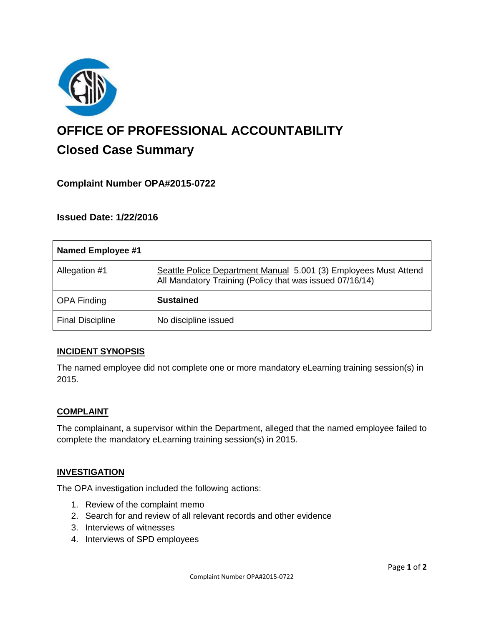

# **OFFICE OF PROFESSIONAL ACCOUNTABILITY Closed Case Summary**

# **Complaint Number OPA#2015-0722**

**Issued Date: 1/22/2016**

| Named Employee #1       |                                                                                                                              |
|-------------------------|------------------------------------------------------------------------------------------------------------------------------|
| Allegation #1           | Seattle Police Department Manual 5.001 (3) Employees Must Attend<br>All Mandatory Training (Policy that was issued 07/16/14) |
| <b>OPA Finding</b>      | <b>Sustained</b>                                                                                                             |
| <b>Final Discipline</b> | No discipline issued                                                                                                         |

#### **INCIDENT SYNOPSIS**

The named employee did not complete one or more mandatory eLearning training session(s) in 2015.

#### **COMPLAINT**

The complainant, a supervisor within the Department, alleged that the named employee failed to complete the mandatory eLearning training session(s) in 2015.

#### **INVESTIGATION**

The OPA investigation included the following actions:

- 1. Review of the complaint memo
- 2. Search for and review of all relevant records and other evidence
- 3. Interviews of witnesses
- 4. Interviews of SPD employees